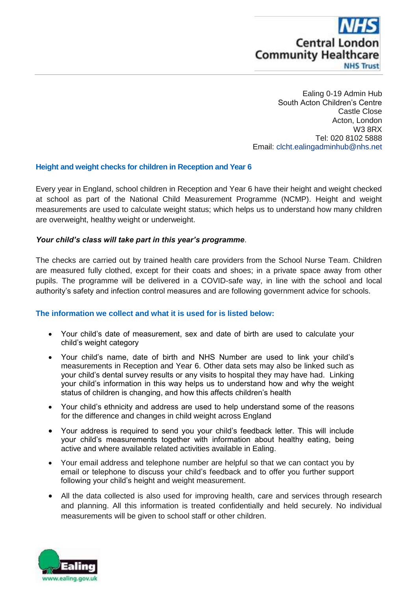

Ealing 0-19 Admin Hub South Acton Children's Centre Castle Close Acton, London W3 8RX Tel: 020 8102 5888 Email: [clcht.ealingadminhub@nhs.net](mailto:clcht.ealingadminhub@nhs.net)

# **Height and weight checks for children in Reception and Year 6**

Every year in England, school children in Reception and Year 6 have their height and weight checked at school as part of the National Child Measurement Programme (NCMP). Height and weight measurements are used to calculate weight status; which helps us to understand how many children are overweight, healthy weight or underweight.

### *Your child's class will take part in this year's programme*.

The checks are carried out by trained health care providers from the School Nurse Team. Children are measured fully clothed, except for their coats and shoes; in a private space away from other pupils. The programme will be delivered in a COVID-safe way, in line with the school and local authority's safety and infection control measures and are following government advice for schools.

### **The information we collect and what it is used for is listed below:**

- Your child's date of measurement, sex and date of birth are used to calculate your child's weight category
- Your child's name, date of birth and NHS Number are used to link your child's measurements in Reception and Year 6. Other data sets may also be linked such as your child's dental survey results or any visits to hospital they may have had. Linking your child's information in this way helps us to understand how and why the weight status of children is changing, and how this affects children's health
- Your child's ethnicity and address are used to help understand some of the reasons for the difference and changes in child weight across England
- Your address is required to send you your child's feedback letter. This will include your child's measurements together with information about healthy eating, being active and where available related activities available in Ealing.
- Your email address and telephone number are helpful so that we can contact you by email or telephone to discuss your child's feedback and to offer you further support following your child's height and weight measurement.
- All the data collected is also used for improving health, care and services through research and planning. All this information is treated confidentially and held securely. No individual measurements will be given to school staff or other children.

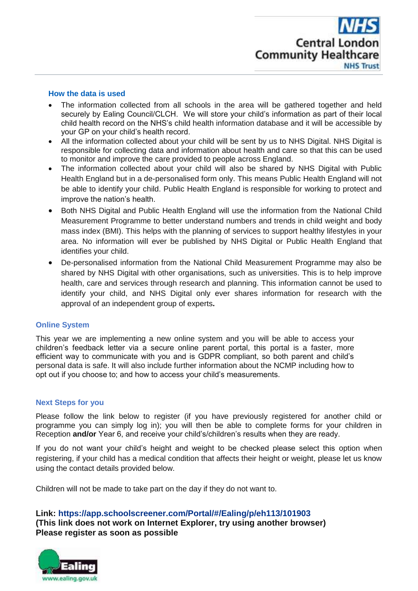

### **How the data is used**

- The information collected from all schools in the area will be gathered together and held securely by Ealing Council/CLCH. We will store your child's information as part of their local child health record on the NHS's child health information database and it will be accessible by your GP on your child's health record.
- All the information collected about your child will be sent by us to NHS Digital. NHS Digital is responsible for collecting data and information about health and care so that this can be used to monitor and improve the care provided to people across England.
- The information collected about your child will also be shared by NHS Digital with Public Health England but in a de-personalised form only. This means Public Health England will not be able to identify your child. Public Health England is responsible for working to protect and improve the nation's health.
- Both NHS Digital and Public Health England will use the information from the National Child Measurement Programme to better understand numbers and trends in child weight and body mass index (BMI). This helps with the planning of services to support healthy lifestyles in your area. No information will ever be published by NHS Digital or Public Health England that identifies your child.
- De-personalised information from the National Child Measurement Programme may also be shared by NHS Digital with other organisations, such as universities. This is to help improve health, care and services through research and planning. This information cannot be used to identify your child, and NHS Digital only ever shares information for research with the approval of an independent group of experts**.**

### **Online System**

This year we are implementing a new online system and you will be able to access your children's feedback letter via a secure online parent portal, this portal is a faster, more efficient way to communicate with you and is GDPR compliant, so both parent and child's personal data is safe. It will also include further information about the NCMP including how to opt out if you choose to; and how to access your child's measurements.

### **Next Steps for you**

Please follow the link below to register (if you have previously registered for another child or programme you can simply log in); you will then be able to complete forms for your children in Reception **and/or** Year 6, and receive your child's/children's results when they are ready.

If you do not want your child's height and weight to be checked please select this option when registering, if your child has a medical condition that affects their height or weight, please let us know using the contact details provided below.

Children will not be made to take part on the day if they do not want to.

### **Link: <https://app.schoolscreener.com/Portal/#/Ealing/p/eh113/101903>**

**(This link does not work on Internet Explorer, try using another browser) Please register as soon as possible**